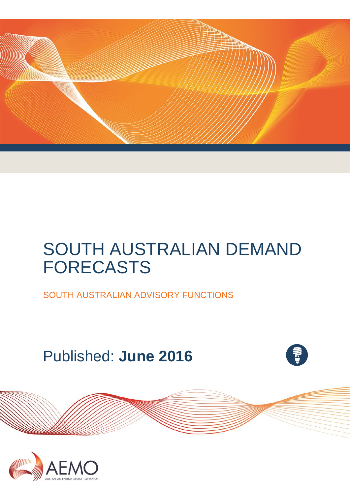

# SOUTH AUSTRALIAN DEMAND FORECASTS

SOUTH AUSTRALIAN ADVISORY FUNCTIONS

Published: **June 2016**



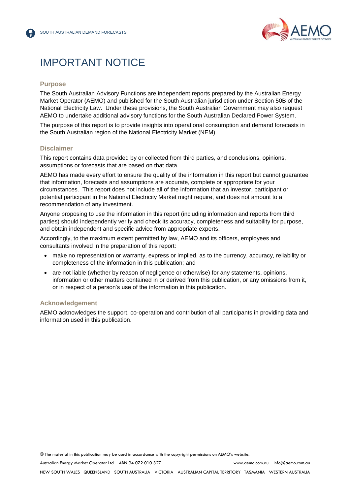

## IMPORTANT NOTICE

#### **Purpose**

The South Australian Advisory Functions are independent reports prepared by the Australian Energy Market Operator (AEMO) and published for the South Australian jurisdiction under Section 50B of the National Electricity Law. Under these provisions, the South Australian Government may also request AEMO to undertake additional advisory functions for the South Australian Declared Power System.

The purpose of this report is to provide insights into operational consumption and demand forecasts in the South Australian region of the National Electricity Market (NEM).

#### **Disclaimer**

This report contains data provided by or collected from third parties, and conclusions, opinions, assumptions or forecasts that are based on that data.

AEMO has made every effort to ensure the quality of the information in this report but cannot guarantee that information, forecasts and assumptions are accurate, complete or appropriate for your circumstances. This report does not include all of the information that an investor, participant or potential participant in the National Electricity Market might require, and does not amount to a recommendation of any investment.

Anyone proposing to use the information in this report (including information and reports from third parties) should independently verify and check its accuracy, completeness and suitability for purpose, and obtain independent and specific advice from appropriate experts.

Accordingly, to the maximum extent permitted by law, AEMO and its officers, employees and consultants involved in the preparation of this report:

- make no representation or warranty, express or implied, as to the currency, accuracy, reliability or completeness of the information in this publication; and
- are not liable (whether by reason of negligence or otherwise) for any statements, opinions, information or other matters contained in or derived from this publication, or any omissions from it, or in respect of a person's use of the information in this publication.

#### **Acknowledgement**

AEMO acknowledges the support, co-operation and contribution of all participants in providing data and information used in this publication.

© The material in this publication may be used in accordance with th[e copyright permissions](http://www.aemo.com.au/en/About-AEMO/Copyright-Permissions) on AEMO's website.

Australian Energy Market Operator Ltd ABN 94 072 010 327 [www.aemo.com.au](http://www.aemo.com.au/) [info@aemo.com.au](mailto:info@aemo.com.au)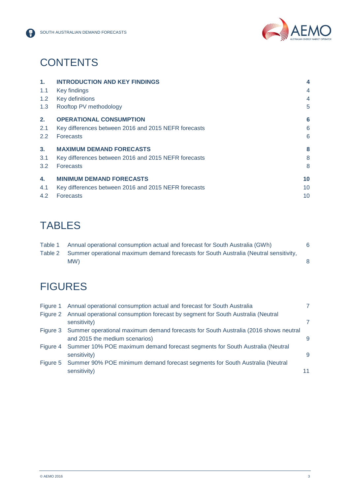



## **CONTENTS**

| $\mathbf{1}$ . | <b>INTRODUCTION AND KEY FINDINGS</b>                 | 4  |
|----------------|------------------------------------------------------|----|
| 1.1            | Key findings                                         | 4  |
| 1.2            | Key definitions                                      | 4  |
| 1.3            | Rooftop PV methodology                               | 5  |
| 2.             | <b>OPERATIONAL CONSUMPTION</b>                       | 6  |
| 2.1            | Key differences between 2016 and 2015 NEFR forecasts | 6  |
| $2.2^{\circ}$  | <b>Forecasts</b>                                     | 6  |
| 3 <sub>1</sub> | <b>MAXIMUM DEMAND FORECASTS</b>                      | 8  |
| 3.1            | Key differences between 2016 and 2015 NEFR forecasts | 8  |
| 3.2            | <b>Forecasts</b>                                     | 8  |
| 4.             | <b>MINIMUM DEMAND FORECASTS</b>                      | 10 |
| 4.1            | Key differences between 2016 and 2015 NEFR forecasts | 10 |
| 4.2            | <b>Forecasts</b>                                     | 10 |

## **TABLES**

| Table 1 | Annual operational consumption actual and forecast for South Australia (GWh)                  |  |
|---------|-----------------------------------------------------------------------------------------------|--|
|         | Table 2 Summer operational maximum demand forecasts for South Australia (Neutral sensitivity, |  |
|         | MW)                                                                                           |  |

## **FIGURES**

| Figure 1 | Annual operational consumption actual and forecast for South Australia                       |    |
|----------|----------------------------------------------------------------------------------------------|----|
|          | Figure 2 Annual operational consumption forecast by segment for South Australia (Neutral     |    |
|          | sensitivity)                                                                                 | 7. |
|          | Figure 3 Summer operational maximum demand forecasts for South Australia (2016 shows neutral |    |
|          | and 2015 the medium scenarios)                                                               | 9  |
|          | Figure 4 Summer 10% POE maximum demand forecast segments for South Australia (Neutral        |    |
|          | sensitivity)                                                                                 | 9  |
|          | Figure 5 Summer 90% POE minimum demand forecast segments for South Australia (Neutral        |    |
|          | sensitivity)                                                                                 | 11 |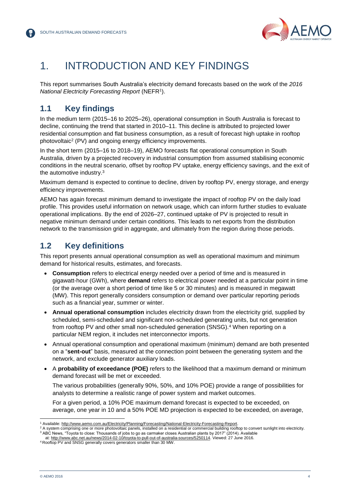

## <span id="page-3-0"></span>1. INTRODUCTION AND KEY FINDINGS

This report summarises South Australia's electricity demand forecasts based on the work of the *2016 National Electricity Forecasting Report* (NEFR<sup>1</sup> ).

#### <span id="page-3-1"></span>**1.1 Key findings**

In the medium term (2015–16 to 2025–26), operational consumption in South Australia is forecast to decline, continuing the trend that started in 2010–11. This decline is attributed to projected lower residential consumption and flat business consumption, as a result of forecast high uptake in rooftop photovoltaic<sup>2</sup> (PV) and ongoing energy efficiency improvements.

In the short term (2015–16 to 2018–19), AEMO forecasts flat operational consumption in South Australia, driven by a projected recovery in industrial consumption from assumed stabilising economic conditions in the neutral scenario, offset by rooftop PV uptake, energy efficiency savings, and the exit of the automotive industry.<sup>3</sup>

Maximum demand is expected to continue to decline, driven by rooftop PV, energy storage, and energy efficiency improvements.

AEMO has again forecast minimum demand to investigate the impact of rooftop PV on the daily load profile. This provides useful information on network usage, which can inform further studies to evaluate operational implications. By the end of 2026–27, continued uptake of PV is projected to result in negative minimum demand under certain conditions. This leads to net exports from the distribution network to the transmission grid in aggregate, and ultimately from the region during those periods.

#### <span id="page-3-2"></span>**1.2 Key definitions**

This report presents annual operational consumption as well as operational maximum and minimum demand for historical results, estimates, and forecasts.

- **Consumption** refers to electrical energy needed over a period of time and is measured in gigawatt-hour (GWh), where **demand** refers to electrical power needed at a particular point in time (or the average over a short period of time like 5 or 30 minutes) and is measured in megawatt (MW). This report generally considers consumption or demand over particular reporting periods such as a financial year, summer or winter.
- **Annual operational consumption** includes electricity drawn from the electricity grid, supplied by scheduled, semi-scheduled and significant non-scheduled generating units, but not generation from rooftop PV and other small non-scheduled generation (SNSG).<sup>4</sup> When reporting on a particular NEM region, it includes net interconnector imports.
- Annual operational consumption and operational maximum (minimum) demand are both presented on a "**sent-out**" basis, measured at the connection point between the generating system and the network, and exclude generator auxiliary loads.
- A **probability of exceedance (POE)** refers to the likelihood that a maximum demand or minimum demand forecast will be met or exceeded.

The various probabilities (generally 90%, 50%, and 10% POE) provide a range of possibilities for analysts to determine a realistic range of power system and market outcomes.

For a given period, a 10% POE maximum demand forecast is expected to be exceeded, on average, one year in 10 and a 50% POE MD projection is expected to be exceeded, on average,

at: [http://www.abc.net.au/news/2014-02-10/toyota-to-pull-out-of-australia-sources/5250114.](http://www.abc.net.au/news/2014-02-10/toyota-to-pull-out-of-australia-sources/5250114) Viewed: 27 June 2016.

l <sup>1</sup> Available: [http://www.aemo.com.au/Electricity/Planning/Forecasting/National-Electricity-Forecasting-Report.](http://www.aemo.com.au/Electricity/Planning/Forecasting/National-Electricity-Forecasting-Report) 

<sup>&</sup>lt;sup>2</sup> A system comprising one or more photovoltaic panels, installed on a residential or commercial building rooftop to convert sunlight into electricity. <sup>3</sup> ABC News, "Toyota to close: Thousands of jobs to go as carmaker closes Australian plants by 2017" (2014). Available

<sup>4</sup> Rooftop PV and SNSG generally covers generators smaller than 30 MW.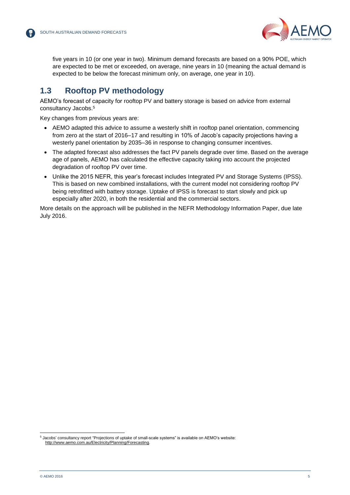

five years in 10 (or one year in two). Minimum demand forecasts are based on a 90% POE, which are expected to be met or exceeded, on average, nine years in 10 (meaning the actual demand is expected to be below the forecast minimum only, on average, one year in 10).

### <span id="page-4-0"></span>**1.3 Rooftop PV methodology**

AEMO's forecast of capacity for rooftop PV and battery storage is based on advice from external consultancy Jacobs.<sup>5</sup>

Key changes from previous years are:

- AEMO adapted this advice to assume a westerly shift in rooftop panel orientation, commencing from zero at the start of 2016–17 and resulting in 10% of Jacob's capacity projections having a westerly panel orientation by 2035–36 in response to changing consumer incentives.
- The adapted forecast also addresses the fact PV panels degrade over time. Based on the average age of panels, AEMO has calculated the effective capacity taking into account the projected degradation of rooftop PV over time.
- Unlike the 2015 NEFR, this year's forecast includes Integrated PV and Storage Systems (IPSS). This is based on new combined installations, with the current model not considering rooftop PV being retrofitted with battery storage. Uptake of IPSS is forecast to start slowly and pick up especially after 2020, in both the residential and the commercial sectors.

More details on the approach will be published in the NEFR Methodology Information Paper, due late July 2016.

l

<sup>5</sup> Jacobs' consultancy report "Projections of uptake of small-scale systems" is available on AEMO's website: [http://www.aemo.com.au/Electricity/Planning/Forecasting.](http://www.aemo.com.au/Electricity/Planning/Forecasting)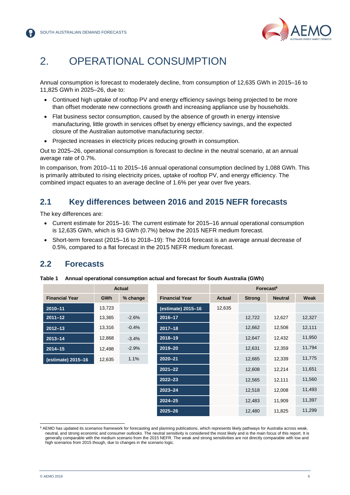

## <span id="page-5-0"></span>2. OPERATIONAL CONSUMPTION

Annual consumption is forecast to moderately decline, from consumption of 12,635 GWh in 2015–16 to 11,825 GWh in 2025–26, due to:

- Continued high uptake of rooftop PV and energy efficiency savings being projected to be more than offset moderate new connections growth and increasing appliance use by households.
- Flat business sector consumption, caused by the absence of growth in energy intensive manufacturing, little growth in services offset by energy efficiency savings, and the expected closure of the Australian automotive manufacturing sector.
- Projected increases in electricity prices reducing growth in consumption.

Out to 2025–26, operational consumption is forecast to decline in the neutral scenario, at an annual average rate of 0.7%.

In comparison, from 2010–11 to 2015–16 annual operational consumption declined by 1,088 GWh. This is primarily attributed to rising electricity prices, uptake of rooftop PV, and energy efficiency. The combined impact equates to an average decline of 1.6% per year over five years.

#### <span id="page-5-1"></span>**2.1 Key differences between 2016 and 2015 NEFR forecasts**

The key differences are:

- Current estimate for 2015–16: The current estimate for 2015–16 annual operational consumption is 12,635 GWh, which is 93 GWh (0.7%) below the 2015 NEFR medium forecast.
- Short-term forecast (2015–16 to 2018–19): The 2016 forecast is an average annual decrease of 0.5%, compared to a flat forecast in the 2015 NEFR medium forecast.

#### <span id="page-5-2"></span>**2.2 Forecasts**

|                       | <b>Actual</b> |          |                       | Forecast <sup>6</sup> |               |                |        |  |
|-----------------------|---------------|----------|-----------------------|-----------------------|---------------|----------------|--------|--|
| <b>Financial Year</b> | <b>GWh</b>    | % change | <b>Financial Year</b> | <b>Actual</b>         | <b>Strong</b> | <b>Neutral</b> | Weak   |  |
| $2010 - 11$           | 13,723        |          | (estimate) 2015-16    | 12,635                |               |                |        |  |
| $2011 - 12$           | 13,365        | $-2.6%$  | 2016-17               |                       | 12,722        | 12,627         | 12,327 |  |
| $2012 - 13$           | 13,316        | $-0.4%$  | $2017 - 18$           |                       | 12,662        | 12,508         | 12,111 |  |
| $2013 - 14$           | 12,868        | $-3.4%$  | $2018 - 19$           |                       | 12,647        | 12,432         | 11,950 |  |
| $2014 - 15$           | 12,498        | $-2.9%$  | 2019-20               |                       | 12,631        | 12,359         | 11,794 |  |
| (estimate) 2015-16    | 12,635        | 1.1%     | $2020 - 21$           |                       | 12,665        | 12,339         | 11,775 |  |
|                       |               |          | $2021 - 22$           |                       | 12,608        | 12,214         | 11,651 |  |
|                       |               |          | $2022 - 23$           |                       | 12,565        | 12,111         | 11,560 |  |
|                       |               |          | $2023 - 24$           |                       | 12,518        | 12,008         | 11,493 |  |
|                       |               |          | $2024 - 25$           |                       | 12,483        | 11,909         | 11,397 |  |
|                       |               |          | $2025 - 26$           |                       | 12,480        | 11,825         | 11,299 |  |

<span id="page-5-3"></span>**Table 1 Annual operational consumption actual and forecast for South Australia (GWh)**

l <sup>6</sup> AEMO has updated its scenarios framework for forecasting and planning publications, which represents likely pathways for Australia across weak, neutral, and strong economic and consumer outlooks. The neutral sensitivity is considered the most likely and is the main focus of this report. It is generally comparable with the medium scenario from the 2015 NEFR. The weak and strong sensitivities are not directly comparable with low and high scenarios from 2015 though, due to changes in the scenario logic.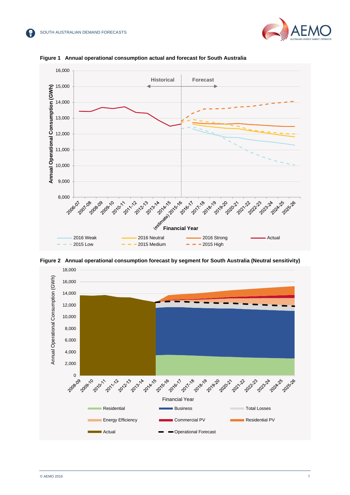



<span id="page-6-0"></span>

<span id="page-6-1"></span>

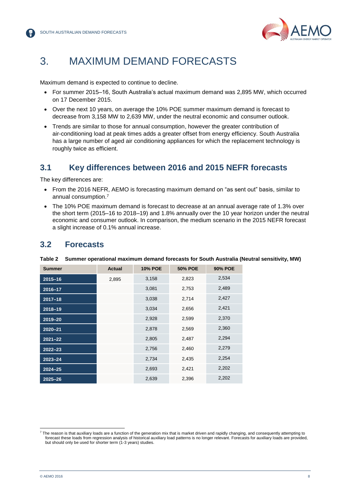

## <span id="page-7-0"></span>3. MAXIMUM DEMAND FORECASTS

Maximum demand is expected to continue to decline.

- For summer 2015–16, South Australia's actual maximum demand was 2,895 MW, which occurred on 17 December 2015.
- Over the next 10 years, on average the 10% POE summer maximum demand is forecast to decrease from 3,158 MW to 2,639 MW, under the neutral economic and consumer outlook.
- Trends are similar to those for annual consumption, however the greater contribution of air-conditioning load at peak times adds a greater offset from energy efficiency. South Australia has a large number of aged air conditioning appliances for which the replacement technology is roughly twice as efficient.

#### <span id="page-7-1"></span>**3.1 Key differences between 2016 and 2015 NEFR forecasts**

The key differences are:

- From the 2016 NEFR, AEMO is forecasting maximum demand on "as sent out" basis, similar to annual consumption. 7
- The 10% POE maximum demand is forecast to decrease at an annual average rate of 1.3% over the short term (2015–16 to 2018–19) and 1.8% annually over the 10 year horizon under the neutral economic and consumer outlook. In comparison, the medium scenario in the 2015 NEFR forecast a slight increase of 0.1% annual increase.

#### <span id="page-7-2"></span>**3.2 Forecasts**

| <b>Summer</b> | <b>Actual</b> | <b>10% POE</b> | <b>50% POE</b> | <b>90% POE</b> |
|---------------|---------------|----------------|----------------|----------------|
| $2015 - 16$   | 2,895         | 3,158          | 2,823          | 2,534          |
| 2016-17       |               | 3,081          | 2,753          | 2,489          |
| $2017 - 18$   |               | 3,038          | 2,714          | 2,427          |
| 2018-19       |               | 3,034          | 2,656          | 2,421          |
| 2019-20       |               | 2,928          | 2,599          | 2,370          |
| $2020 - 21$   |               | 2,878          | 2,569          | 2,360          |
| $2021 - 22$   |               | 2,805          | 2,487          | 2,294          |
| $2022 - 23$   |               | 2,756          | 2,460          | 2,279          |
| $2023 - 24$   |               | 2,734          | 2,435          | 2,254          |
| $2024 - 25$   |               | 2,693          | 2,421          | 2,202          |
| $2025 - 26$   |               | 2,639          | 2,396          | 2,202          |

<span id="page-7-3"></span>**Table 2 Summer operational maximum demand forecasts for South Australia (Neutral sensitivity, MW)**

l

<sup>&</sup>lt;sup>7</sup> The reason is that auxiliary loads are a function of the generation mix that is market driven and rapidly changing, and consequently attempting to forecast these loads from regression analysis of historical auxiliary load patterns is no longer relevant. Forecasts for auxiliary loads are provided, but should only be used for shorter term (1-3 years) studies.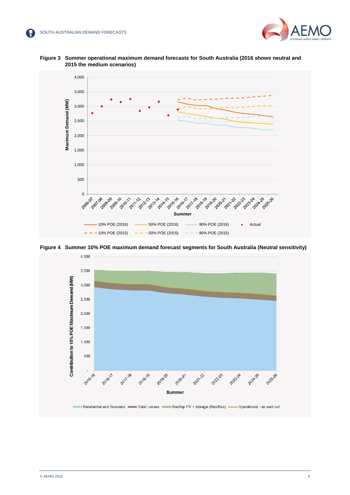



<span id="page-8-0"></span>



<span id="page-8-1"></span>

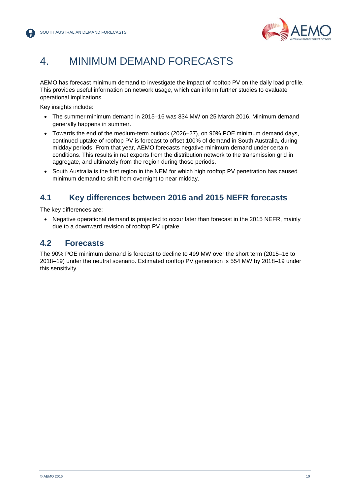

## <span id="page-9-0"></span>4. MINIMUM DEMAND FORECASTS

AEMO has forecast minimum demand to investigate the impact of rooftop PV on the daily load profile. This provides useful information on network usage, which can inform further studies to evaluate operational implications.

Key insights include:

- The summer minimum demand in 2015–16 was 834 MW on 25 March 2016. Minimum demand generally happens in summer.
- Towards the end of the medium-term outlook (2026–27), on 90% POE minimum demand days, continued uptake of rooftop PV is forecast to offset 100% of demand in South Australia, during midday periods. From that year, AEMO forecasts negative minimum demand under certain conditions. This results in net exports from the distribution network to the transmission grid in aggregate, and ultimately from the region during those periods.
- South Australia is the first region in the NEM for which high rooftop PV penetration has caused minimum demand to shift from overnight to near midday.

#### <span id="page-9-1"></span>**4.1 Key differences between 2016 and 2015 NEFR forecasts**

The key differences are:

• Negative operational demand is projected to occur later than forecast in the 2015 NEFR, mainly due to a downward revision of rooftop PV uptake.

#### <span id="page-9-2"></span>**4.2 Forecasts**

The 90% POE minimum demand is forecast to decline to 499 MW over the short term (2015–16 to 2018–19) under the neutral scenario. Estimated rooftop PV generation is 554 MW by 2018–19 under this sensitivity.